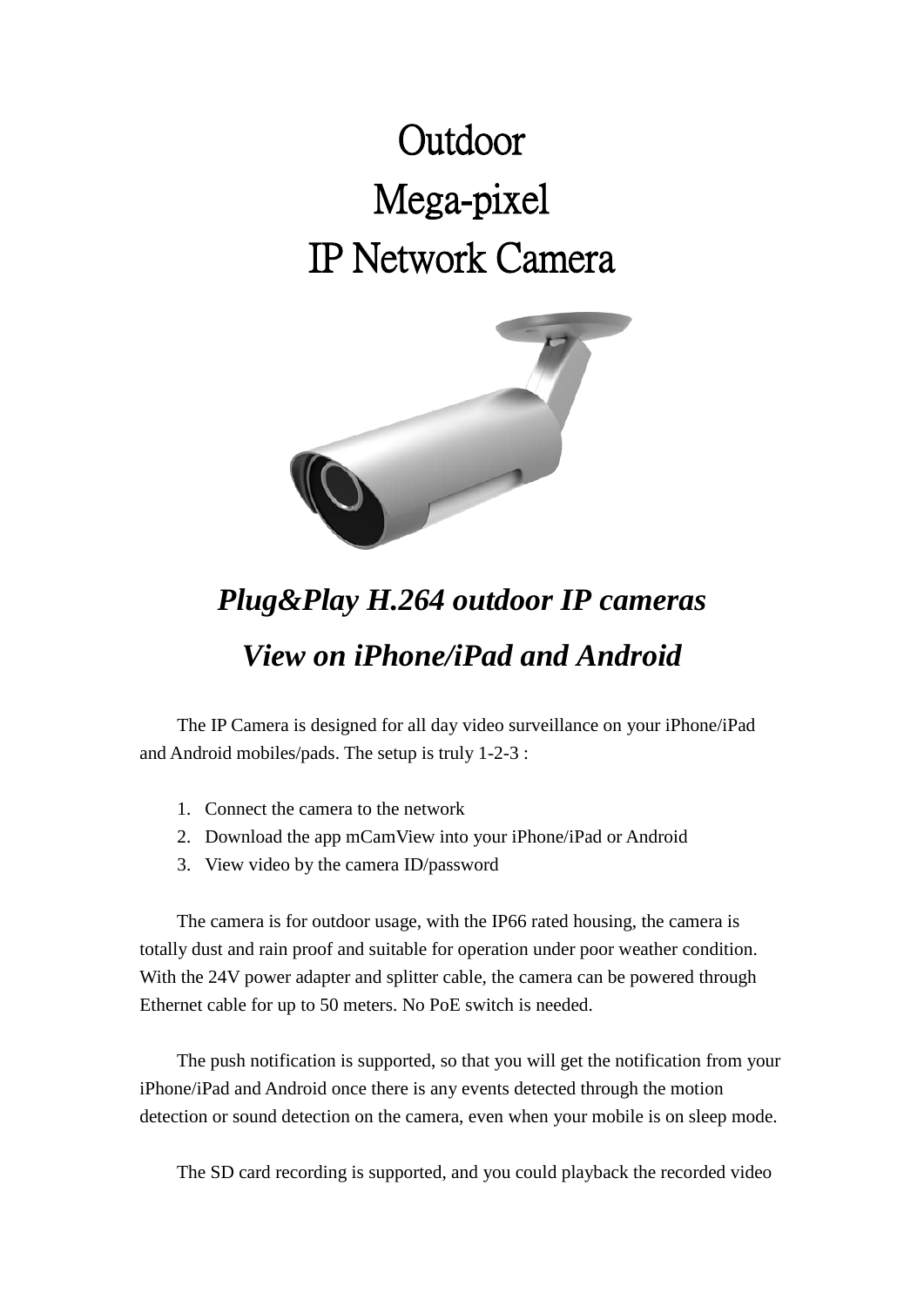## **Outdoor** Mega-pixel IP Network Camera



## *Plug&Play H.264 outdoor IP cameras View on iPhone/iPad and Android*

The IP Camera is designed for all day video surveillance on your iPhone/iPad and Android mobiles/pads. The setup is truly 1-2-3 :

- 1. Connect the camera to the network
- 2. Download the app mCamView into your iPhone/iPad or Android
- 3. View video by the camera ID/password

The camera is for outdoor usage, with the IP66 rated housing, the camera is totally dust and rain proof and suitable for operation under poor weather condition. With the 24V power adapter and splitter cable, the camera can be powered through Ethernet cable for up to 50 meters. No PoE switch is needed.

The push notification is supported, so that you will get the notification from your iPhone/iPad and Android once there is any events detected through the motion detection or sound detection on the camera, even when your mobile is on sleep mode.

The SD card recording is supported, and you could playback the recorded video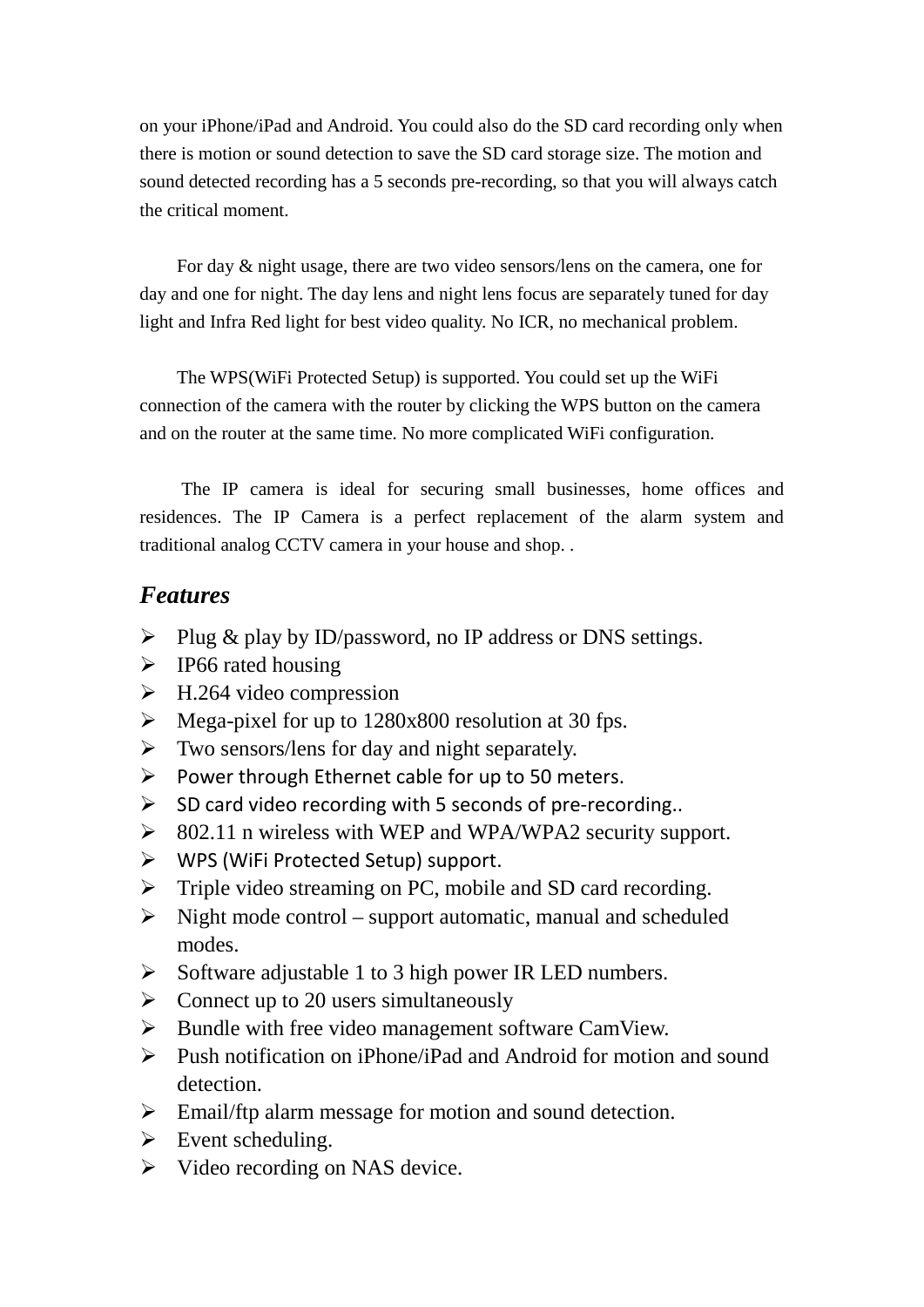on your iPhone/iPad and Android. You could also do the SD card recording only when there is motion or sound detection to save the SD card storage size. The motion and sound detected recording has a 5 seconds pre-recording, so that you will always catch the critical moment.

For day & night usage, there are two video sensors/lens on the camera, one for day and one for night. The day lens and night lens focus are separately tuned for day light and Infra Red light for best video quality. No ICR, no mechanical problem.

The WPS(WiFi Protected Setup) is supported. You could set up the WiFi connection of the camera with the router by clicking the WPS button on the camera and on the router at the same time. No more complicated WiFi configuration.

The IP camera is ideal for securing small businesses, home offices and residences. The IP Camera is a perfect replacement of the alarm system and traditional analog CCTV camera in your house and shop. .

## *Features*

- Plug & play by ID/password, no IP address or DNS settings.
- $\triangleright$  IP66 rated housing
- $\triangleright$  H.264 video compression
- $\triangleright$  Mega-pixel for up to 1280x800 resolution at 30 fps.
- $\triangleright$  Two sensors/lens for day and night separately.
- Power through Ethernet cable for up to 50 meters.
- $\triangleright$  SD card video recording with 5 seconds of pre-recording..
- $\geq$  802.11 n wireless with WEP and WPA/WPA2 security support.
- $\triangleright$  WPS (WiFi Protected Setup) support.
- $\triangleright$  Triple video streaming on PC, mobile and SD card recording.
- $\triangleright$  Night mode control support automatic, manual and scheduled modes.
- $\triangleright$  Software adjustable 1 to 3 high power IR LED numbers.
- $\triangleright$  Connect up to 20 users simultaneously
- $\triangleright$  Bundle with free video management software CamView.
- $\triangleright$  Push notification on iPhone/iPad and Android for motion and sound detection.
- Email/ftp alarm message for motion and sound detection.
- $\triangleright$  Event scheduling.
- $\triangleright$  Video recording on NAS device.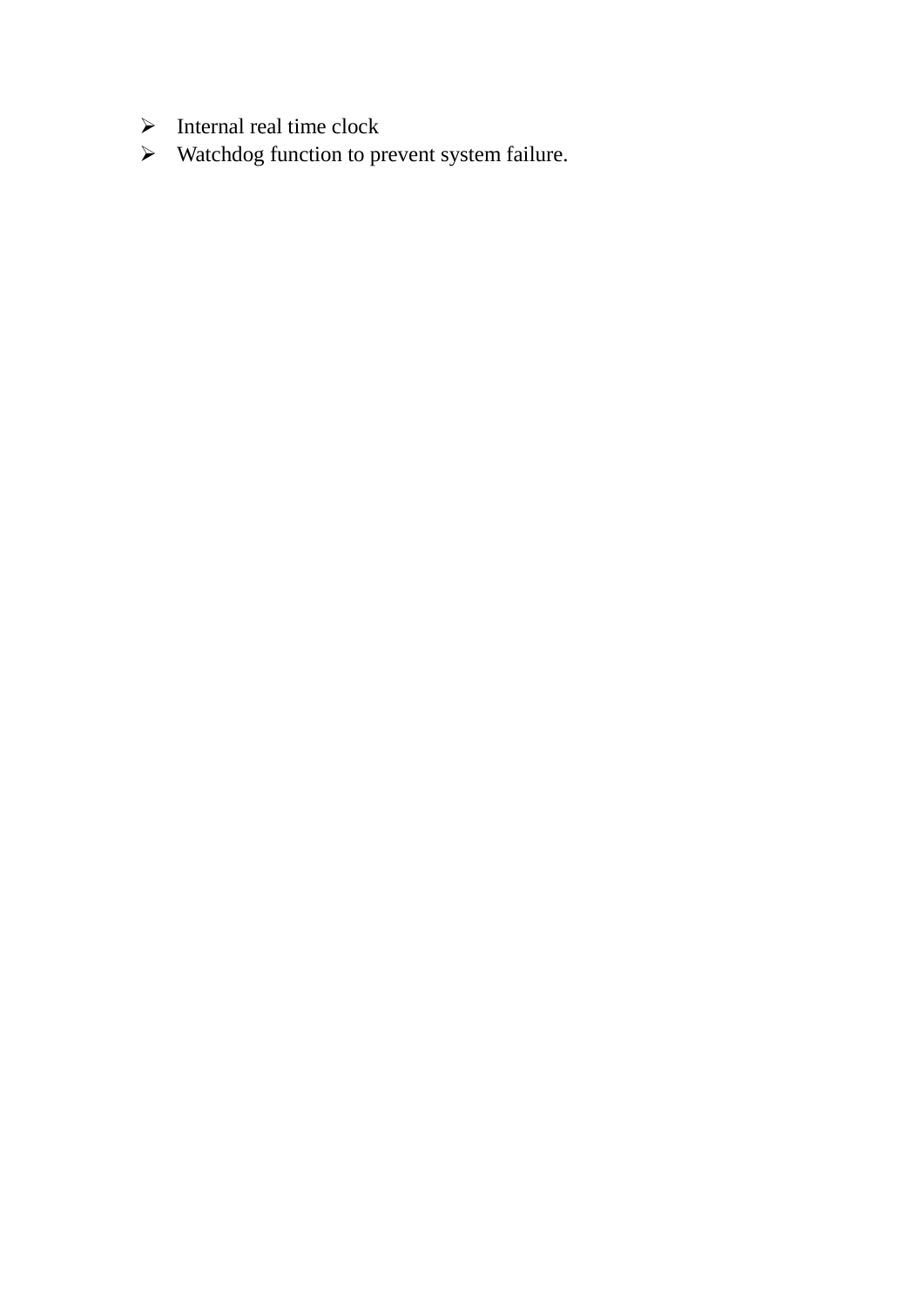- $\triangleright$  Internal real time clock
- Watchdog function to prevent system failure.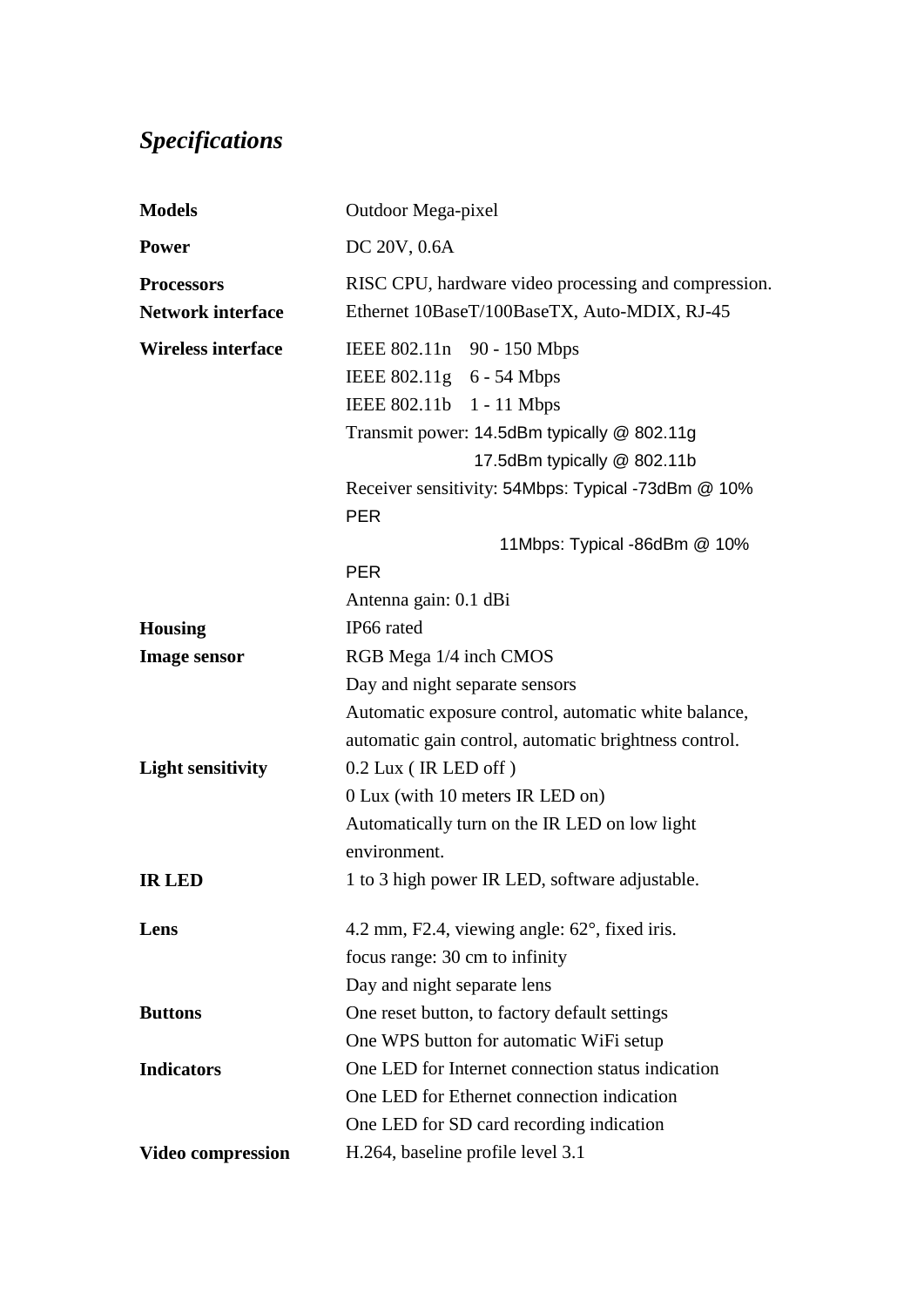## *Specifications*

| <b>Models</b>             | Outdoor Mega-pixel                                               |
|---------------------------|------------------------------------------------------------------|
| <b>Power</b>              | DC 20V, 0.6A                                                     |
| <b>Processors</b>         | RISC CPU, hardware video processing and compression.             |
| <b>Network interface</b>  | Ethernet 10BaseT/100BaseTX, Auto-MDIX, RJ-45                     |
| <b>Wireless interface</b> | IEEE 802.11n 90 - 150 Mbps                                       |
|                           | IEEE 802.11g 6 - 54 Mbps                                         |
|                           | IEEE 802.11b 1 - 11 Mbps                                         |
|                           | Transmit power: 14.5dBm typically @ 802.11g                      |
|                           | 17.5dBm typically @ 802.11b                                      |
|                           | Receiver sensitivity: 54Mbps: Typical -73dBm @ 10%<br><b>PER</b> |
|                           | 11Mbps: Typical -86dBm @ 10%                                     |
|                           | <b>PER</b>                                                       |
|                           | Antenna gain: 0.1 dBi                                            |
| <b>Housing</b>            | IP66 rated                                                       |
| <b>Image sensor</b>       | RGB Mega 1/4 inch CMOS                                           |
|                           | Day and night separate sensors                                   |
|                           | Automatic exposure control, automatic white balance,             |
|                           | automatic gain control, automatic brightness control.            |
| <b>Light sensitivity</b>  | $0.2$ Lux (IR LED off)                                           |
|                           | 0 Lux (with 10 meters IR LED on)                                 |
|                           | Automatically turn on the IR LED on low light                    |
|                           | environment.                                                     |
| <b>IR LED</b>             | 1 to 3 high power IR LED, software adjustable.                   |
| Lens                      | 4.2 mm, F2.4, viewing angle: $62^{\circ}$ , fixed iris.          |
|                           | focus range: 30 cm to infinity                                   |
|                           | Day and night separate lens                                      |
| <b>Buttons</b>            | One reset button, to factory default settings                    |
|                           | One WPS button for automatic WiFi setup                          |
| <b>Indicators</b>         | One LED for Internet connection status indication                |
|                           | One LED for Ethernet connection indication                       |
|                           | One LED for SD card recording indication                         |
| <b>Video compression</b>  | H.264, baseline profile level 3.1                                |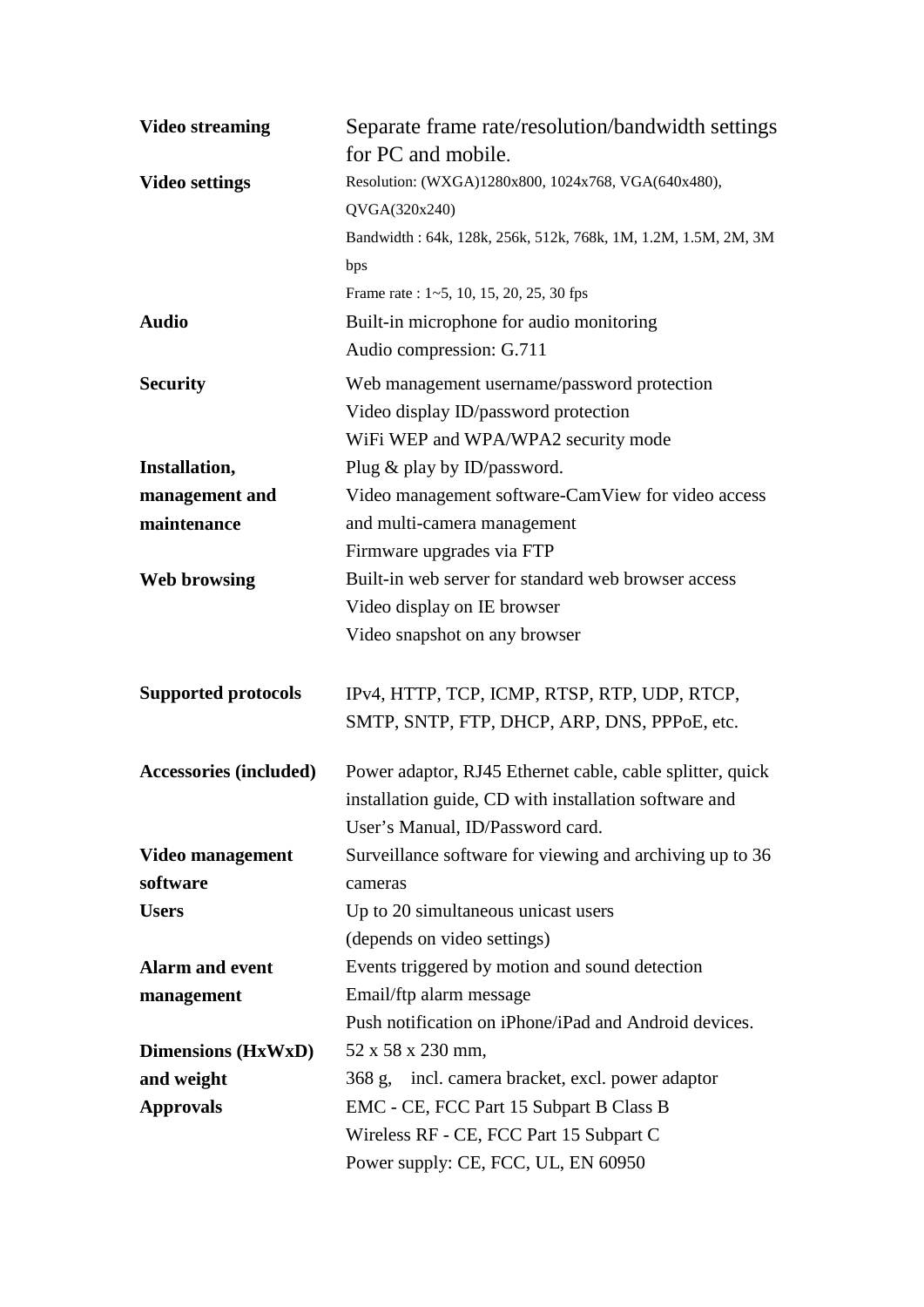| <b>Video streaming</b>        | Separate frame rate/resolution/bandwidth settings<br>for PC and mobile.                                                                                                                  |
|-------------------------------|------------------------------------------------------------------------------------------------------------------------------------------------------------------------------------------|
| <b>Video settings</b>         | Resolution: (WXGA)1280x800, 1024x768, VGA(640x480),<br>QVGA(320x240)<br>Bandwidth: 64k, 128k, 256k, 512k, 768k, 1M, 1.2M, 1.5M, 2M, 3M<br>bps<br>Frame rate: 1~5, 10, 15, 20, 25, 30 fps |
| <b>Audio</b>                  | Built-in microphone for audio monitoring<br>Audio compression: G.711                                                                                                                     |
| <b>Security</b>               | Web management username/password protection<br>Video display ID/password protection<br>WiFi WEP and WPA/WPA2 security mode                                                               |
| Installation,                 | Plug & play by ID/password.                                                                                                                                                              |
| management and                | Video management software-CamView for video access                                                                                                                                       |
| maintenance                   | and multi-camera management                                                                                                                                                              |
|                               | Firmware upgrades via FTP                                                                                                                                                                |
| <b>Web browsing</b>           | Built-in web server for standard web browser access                                                                                                                                      |
|                               | Video display on IE browser                                                                                                                                                              |
|                               | Video snapshot on any browser                                                                                                                                                            |
| <b>Supported protocols</b>    | IPv4, HTTP, TCP, ICMP, RTSP, RTP, UDP, RTCP,<br>SMTP, SNTP, FTP, DHCP, ARP, DNS, PPPoE, etc.                                                                                             |
| <b>Accessories (included)</b> | Power adaptor, RJ45 Ethernet cable, cable splitter, quick<br>installation guide, CD with installation software and<br>User's Manual, ID/Password card.                                   |
| Video management              | Surveillance software for viewing and archiving up to 36                                                                                                                                 |
| software                      | cameras                                                                                                                                                                                  |
| <b>Users</b>                  | Up to 20 simultaneous unicast users                                                                                                                                                      |
|                               | (depends on video settings)                                                                                                                                                              |
| <b>Alarm and event</b>        | Events triggered by motion and sound detection                                                                                                                                           |
| management                    | Email/ftp alarm message                                                                                                                                                                  |
|                               | Push notification on iPhone/iPad and Android devices.                                                                                                                                    |
| <b>Dimensions (HxWxD)</b>     | 52 x 58 x 230 mm,                                                                                                                                                                        |
| and weight                    |                                                                                                                                                                                          |
|                               | 368 g, incl. camera bracket, excl. power adaptor                                                                                                                                         |
| <b>Approvals</b>              | EMC - CE, FCC Part 15 Subpart B Class B                                                                                                                                                  |
|                               | Wireless RF - CE, FCC Part 15 Subpart C<br>Power supply: CE, FCC, UL, EN 60950                                                                                                           |